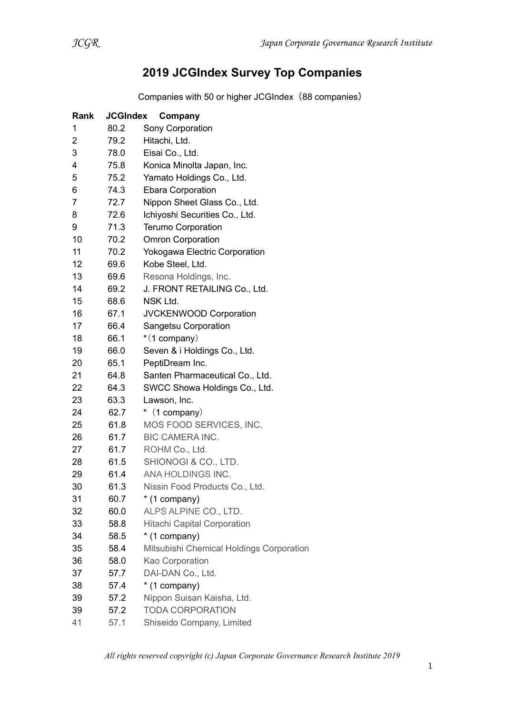## 2019 JCGIndex Survey Top Companies

Companies with 50 or higher JCGIndex(88 companies)

| Rank           | <b>JCGIndex</b> | Company                                  |
|----------------|-----------------|------------------------------------------|
| 1              | 80.2            | Sony Corporation                         |
| $\overline{2}$ | 79.2            | Hitachi, Ltd.                            |
| 3              | 78.0            | Eisai Co., Ltd.                          |
| 4              | 75.8            | Konica Minolta Japan, Inc.               |
| 5              | 75.2            | Yamato Holdings Co., Ltd.                |
| 6              | 74.3            | <b>Ebara Corporation</b>                 |
| 7              | 72.7            | Nippon Sheet Glass Co., Ltd.             |
| 8              | 72.6            | Ichiyoshi Securities Co., Ltd.           |
| 9              | 71.3            | <b>Terumo Corporation</b>                |
| 10             | 70.2            | <b>Omron Corporation</b>                 |
| 11             | 70.2            | Yokogawa Electric Corporation            |
| 12             | 69.6            | Kobe Steel, Ltd.                         |
| 13             | 69.6            | Resona Holdings, Inc.                    |
| 14             | 69.2            | J. FRONT RETAILING Co., Ltd.             |
| 15             | 68.6            | NSK Ltd.                                 |
| 16             | 67.1            | JVCKENWOOD Corporation                   |
| 17             | 66.4            | <b>Sangetsu Corporation</b>              |
| 18             | 66.1            | $*(1$ company)                           |
| 19             | 66.0            | Seven & i Holdings Co., Ltd.             |
| 20             | 65.1            | PeptiDream Inc.                          |
| 21             | 64.8            | Santen Pharmaceutical Co., Ltd.          |
| 22             | 64.3            | SWCC Showa Holdings Co., Ltd.            |
| 23             | 63.3            | Lawson, Inc.                             |
| 24             | 62.7            | $*$ (1 company)                          |
| 25             | 61.8            | MOS FOOD SERVICES, INC.                  |
| 26             | 61.7            | <b>BIC CAMERA INC.</b>                   |
| 27             | 61.7            | ROHM Co., Ltd.                           |
| 28             | 61.5            | SHIONOGI & CO., LTD.                     |
| 29             | 61.4            | ANA HOLDINGS INC.                        |
| 30             | 61.3            | Nissin Food Products Co., Ltd.           |
| 31             | 60.7            | * (1 company)                            |
| 32             | 60.0            | ALPS ALPINE CO., LTD.                    |
| 33             | 58.8            | <b>Hitachi Capital Corporation</b>       |
| 34             | 58.5            | * (1 company)                            |
| 35             | 58.4            | Mitsubishi Chemical Holdings Corporation |
| 36             | 58.0            | Kao Corporation                          |
| 37             | 57.7            | DAI-DAN Co., Ltd.                        |
| 38             | 57.4            | * (1 company)                            |
| 39             | 57.2            | Nippon Suisan Kaisha, Ltd.               |
| 39             | 57.2            | <b>TODA CORPORATION</b>                  |
| 41             | 57.1            | Shiseido Company, Limited                |